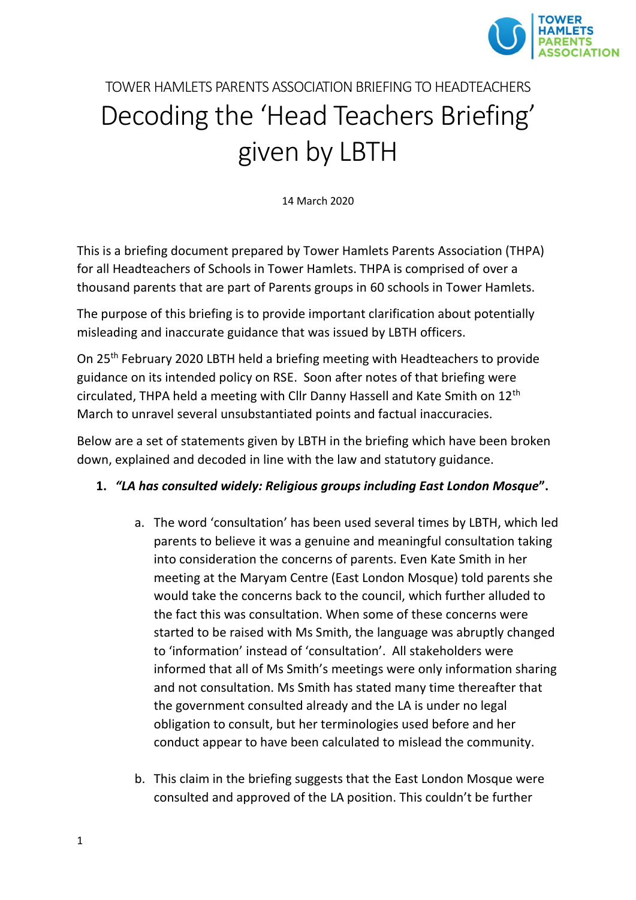

# TOWER HAMLETS PARENTS ASSOCIATION BRIEFING TO HEADTEACHERS Decoding the 'Head Teachers Briefing' given by LBTH

14 March 2020

This is a briefing document prepared by Tower Hamlets Parents Association (THPA) for all Headteachers of Schools in Tower Hamlets. THPA is comprised of over a thousand parents that are part of Parents groups in 60 schools in Tower Hamlets.

The purpose of this briefing is to provide important clarification about potentially misleading and inaccurate guidance that was issued by LBTH officers.

On 25th February 2020 LBTH held a briefing meeting with Headteachers to provide guidance on its intended policy on RSE. Soon after notes of that briefing were circulated, THPA held a meeting with Cllr Danny Hassell and Kate Smith on 12th March to unravel several unsubstantiated points and factual inaccuracies.

Below are a set of statements given by LBTH in the briefing which have been broken down, explained and decoded in line with the law and statutory guidance.

#### **1.** *"LA has consulted widely: Religious groups including East London Mosque***".**

- a. The word 'consultation' has been used several times by LBTH, which led parents to believe it was a genuine and meaningful consultation taking into consideration the concerns of parents. Even Kate Smith in her meeting at the Maryam Centre (East London Mosque) told parents she would take the concerns back to the council, which further alluded to the fact this was consultation. When some of these concerns were started to be raised with Ms Smith, the language was abruptly changed to 'information' instead of 'consultation'. All stakeholders were informed that all of Ms Smith's meetings were only information sharing and not consultation. Ms Smith has stated many time thereafter that the government consulted already and the LA is under no legal obligation to consult, but her terminologies used before and her conduct appear to have been calculated to mislead the community.
- b. This claim in the briefing suggests that the East London Mosque were consulted and approved of the LA position. This couldn't be further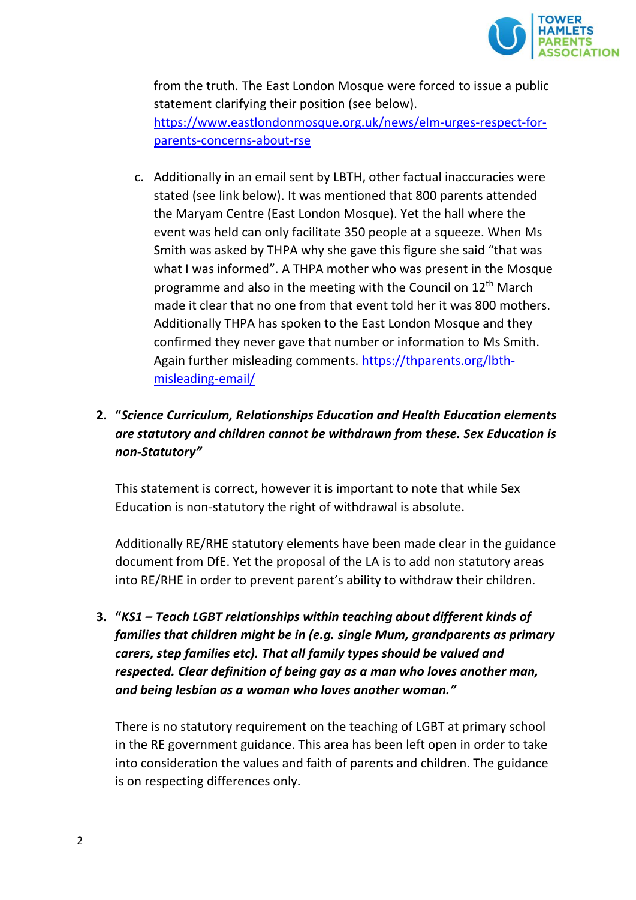

from the truth. The East London Mosque were forced to issue a public statement clarifying their position (see below). [https://www.eastlondonmosque.org.uk/news/elm-urges-respect-for](https://www.eastlondonmosque.org.uk/news/elm-urges-respect-for-parents-concerns-about-rse)[parents-concerns-about-rse](https://www.eastlondonmosque.org.uk/news/elm-urges-respect-for-parents-concerns-about-rse)

c. Additionally in an email sent by LBTH, other factual inaccuracies were stated (see link below). It was mentioned that 800 parents attended the Maryam Centre (East London Mosque). Yet the hall where the event was held can only facilitate 350 people at a squeeze. When Ms Smith was asked by THPA why she gave this figure she said "that was what I was informed". A THPA mother who was present in the Mosque programme and also in the meeting with the Council on 12<sup>th</sup> March made it clear that no one from that event told her it was 800 mothers. Additionally THPA has spoken to the East London Mosque and they confirmed they never gave that number or information to Ms Smith. Again further misleading comments. [https://thparents.org/lbth](https://thparents.org/lbth-misleading-email/)[misleading-email/](https://thparents.org/lbth-misleading-email/)

# **2. "***Science Curriculum, Relationships Education and Health Education elements are statutory and children cannot be withdrawn from these. Sex Education is non-Statutory"*

This statement is correct, however it is important to note that while Sex Education is non-statutory the right of withdrawal is absolute.

Additionally RE/RHE statutory elements have been made clear in the guidance document from DfE. Yet the proposal of the LA is to add non statutory areas into RE/RHE in order to prevent parent's ability to withdraw their children.

**3. "***KS1 – Teach LGBT relationships within teaching about different kinds of families that children might be in (e.g. single Mum, grandparents as primary carers, step families etc). That all family types should be valued and respected. Clear definition of being gay as a man who loves another man, and being lesbian as a woman who loves another woman."*

There is no statutory requirement on the teaching of LGBT at primary school in the RE government guidance. This area has been left open in order to take into consideration the values and faith of parents and children. The guidance is on respecting differences only.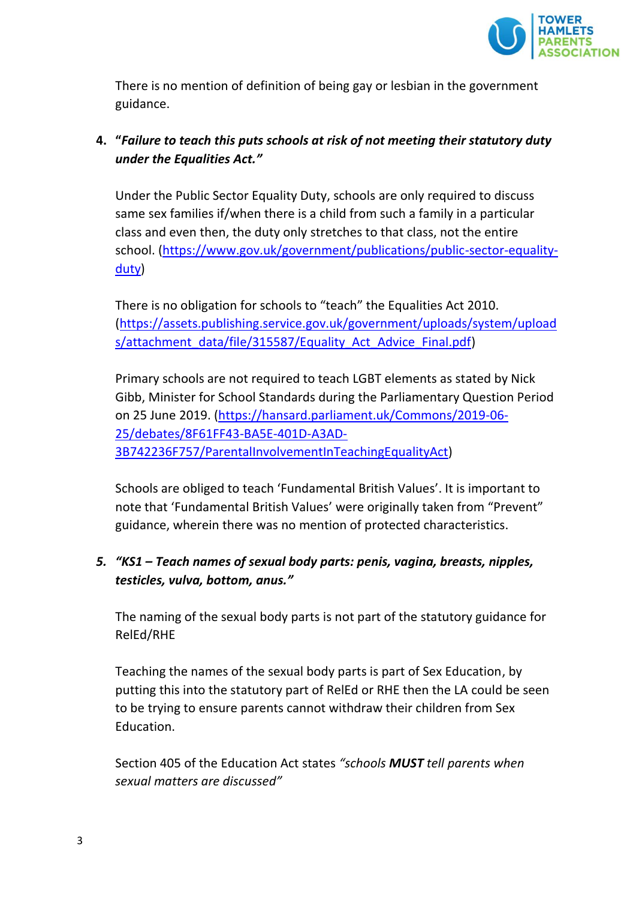

There is no mention of definition of being gay or lesbian in the government guidance.

# **4. "***Failure to teach this puts schools at risk of not meeting their statutory duty under the Equalities Act."*

Under the Public Sector Equality Duty, schools are only required to discuss same sex families if/when there is a child from such a family in a particular class and even then, the duty only stretches to that class, not the entire school. [\(https://www.gov.uk/government/publications/public-sector-equality](https://www.gov.uk/government/publications/public-sector-equality-duty)[duty\)](https://www.gov.uk/government/publications/public-sector-equality-duty)

There is no obligation for schools to "teach" the Equalities Act 2010. [\(https://assets.publishing.service.gov.uk/government/uploads/system/upload](https://assets.publishing.service.gov.uk/government/uploads/system/uploads/attachment_data/file/315587/Equality_Act_Advice_Final.pdf) [s/attachment\\_data/file/315587/Equality\\_Act\\_Advice\\_Final.pdf\)](https://assets.publishing.service.gov.uk/government/uploads/system/uploads/attachment_data/file/315587/Equality_Act_Advice_Final.pdf)

Primary schools are not required to teach LGBT elements as stated by Nick Gibb, Minister for School Standards during the Parliamentary Question Period on 25 June 2019. [\(https://hansard.parliament.uk/Commons/2019-06-](https://hansard.parliament.uk/Commons/2019-06-25/debates/8F61FF43-BA5E-401D-A3AD-3B742236F757/ParentalInvolvementInTeachingEqualityAct) [25/debates/8F61FF43-BA5E-401D-A3AD-](https://hansard.parliament.uk/Commons/2019-06-25/debates/8F61FF43-BA5E-401D-A3AD-3B742236F757/ParentalInvolvementInTeachingEqualityAct)[3B742236F757/ParentalInvolvementInTeachingEqualityAct\)](https://hansard.parliament.uk/Commons/2019-06-25/debates/8F61FF43-BA5E-401D-A3AD-3B742236F757/ParentalInvolvementInTeachingEqualityAct)

Schools are obliged to teach 'Fundamental British Values'. It is important to note that 'Fundamental British Values' were originally taken from "Prevent" guidance, wherein there was no mention of protected characteristics.

## *5. "KS1 – Teach names of sexual body parts: penis, vagina, breasts, nipples, testicles, vulva, bottom, anus."*

The naming of the sexual body parts is not part of the statutory guidance for RelEd/RHE

Teaching the names of the sexual body parts is part of Sex Education, by putting this into the statutory part of RelEd or RHE then the LA could be seen to be trying to ensure parents cannot withdraw their children from Sex Education.

Section 405 of the Education Act states *"schools MUST tell parents when sexual matters are discussed"*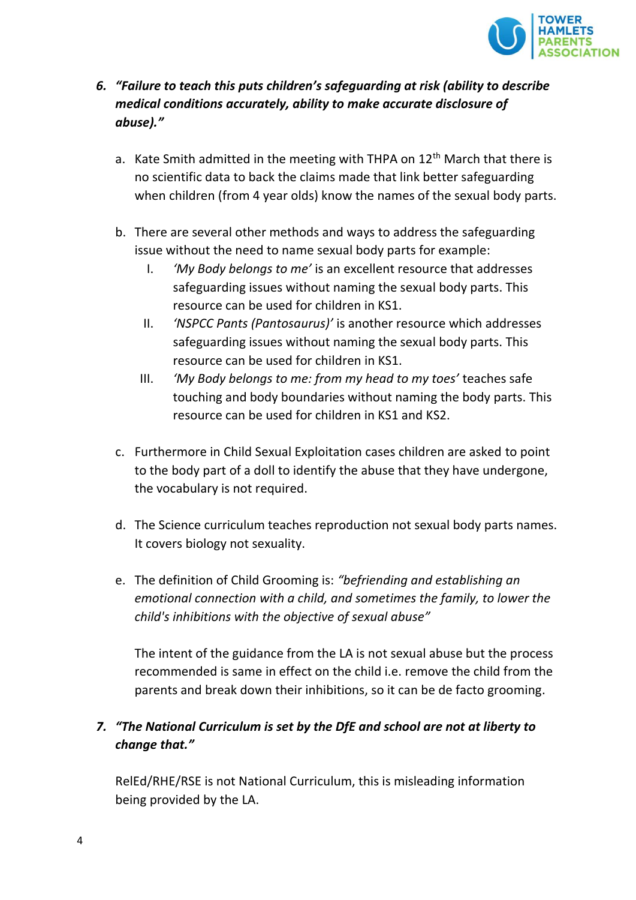

- *6. "Failure to teach this puts children's safeguarding at risk (ability to describe medical conditions accurately, ability to make accurate disclosure of abuse)."*
	- a. Kate Smith admitted in the meeting with THPA on 12<sup>th</sup> March that there is no scientific data to back the claims made that link better safeguarding when children (from 4 year olds) know the names of the sexual body parts.
	- b. There are several other methods and ways to address the safeguarding issue without the need to name sexual body parts for example:
		- I. *'My Body belongs to me'* is an excellent resource that addresses safeguarding issues without naming the sexual body parts. This resource can be used for children in KS1.
		- II. *'NSPCC Pants (Pantosaurus)'* is another resource which addresses safeguarding issues without naming the sexual body parts. This resource can be used for children in KS1.
		- III. *'My Body belongs to me: from my head to my toes'* teaches safe touching and body boundaries without naming the body parts. This resource can be used for children in KS1 and KS2.
	- c. Furthermore in Child Sexual Exploitation cases children are asked to point to the body part of a doll to identify the abuse that they have undergone, the vocabulary is not required.
	- d. The Science curriculum teaches reproduction not sexual body parts names. It covers biology not sexuality.
	- e. The definition of Child Grooming is: *"befriending and establishing an emotional connection with a child, and sometimes the family, to lower the child's inhibitions with the objective of [sexual abuse](https://en.wikipedia.org/wiki/Child_sexual_abuse)"*

The intent of the guidance from the LA is not sexual abuse but the process recommended is same in effect on the child i.e. remove the child from the parents and break down their inhibitions, so it can be de facto grooming.

# *7. "The National Curriculum is set by the DfE and school are not at liberty to change that."*

RelEd/RHE/RSE is not National Curriculum, this is misleading information being provided by the LA.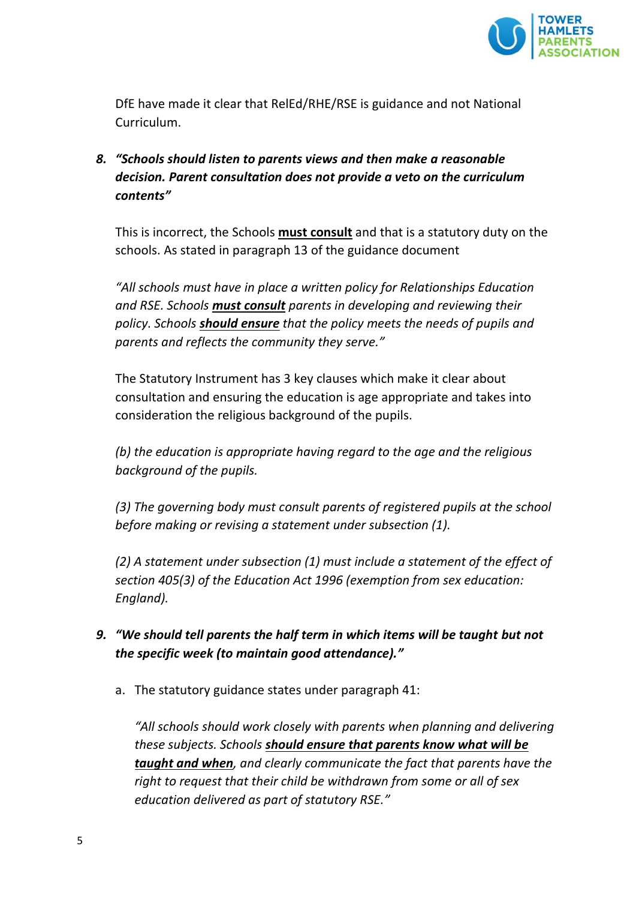

DfE have made it clear that RelEd/RHE/RSE is guidance and not National Curriculum.

*8. "Schools should listen to parents views and then make a reasonable decision. Parent consultation does not provide a veto on the curriculum contents"*

This is incorrect, the Schools **must consult** and that is a statutory duty on the schools. As stated in paragraph 13 of the guidance document

*"All schools must have in place a written policy for Relationships Education and RSE. Schools must consult parents in developing and reviewing their policy. Schools should ensure that the policy meets the needs of pupils and parents and reflects the community they serve."*

The Statutory Instrument has 3 key clauses which make it clear about consultation and ensuring the education is age appropriate and takes into consideration the religious background of the pupils.

*(b) the education is appropriate having regard to the age and the religious background of the pupils.*

*(3) The governing body must consult parents of registered pupils at the school before making or revising a statement under subsection (1).*

*(2) A statement under subsection (1) must include a statement of the effect of section 405(3) of the Education Act 1996 (exemption from sex education: England).*

- *9. "We should tell parents the half term in which items will be taught but not the specific week (to maintain good attendance)."*
	- a. The statutory guidance states under paragraph 41:

*"All schools should work closely with parents when planning and delivering these subjects. Schools should ensure that parents know what will be taught and when, and clearly communicate the fact that parents have the right to request that their child be withdrawn from some or all of sex education delivered as part of statutory RSE."*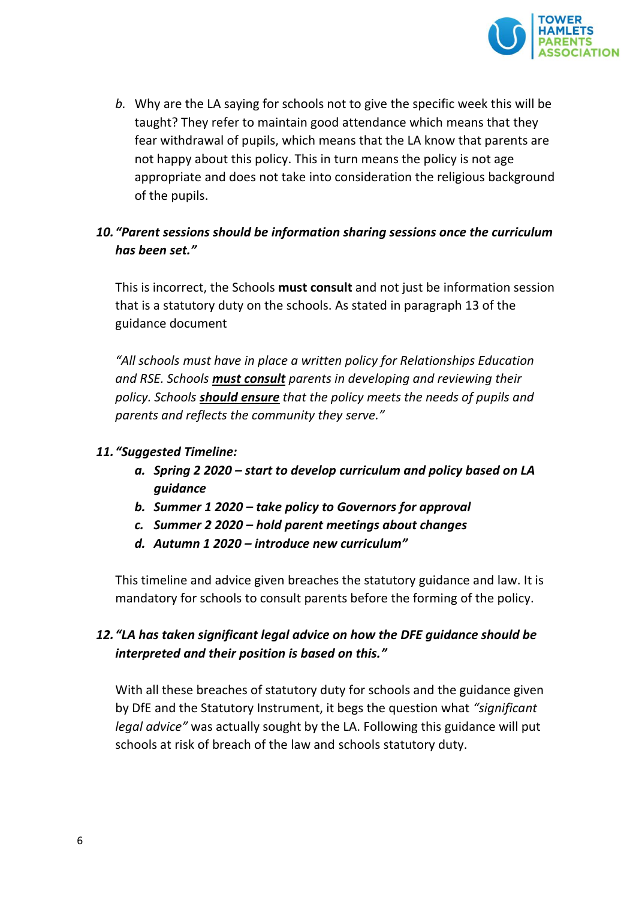

*b.* Why are the LA saying for schools not to give the specific week this will be taught? They refer to maintain good attendance which means that they fear withdrawal of pupils, which means that the LA know that parents are not happy about this policy. This in turn means the policy is not age appropriate and does not take into consideration the religious background of the pupils.

### *10."Parent sessions should be information sharing sessions once the curriculum has been set."*

This is incorrect, the Schools **must consult** and not just be information session that is a statutory duty on the schools. As stated in paragraph 13 of the guidance document

*"All schools must have in place a written policy for Relationships Education and RSE. Schools must consult parents in developing and reviewing their policy. Schools should ensure that the policy meets the needs of pupils and parents and reflects the community they serve."*

#### *11."Suggested Timeline:*

- *a. Spring 2 2020 – start to develop curriculum and policy based on LA guidance*
- *b. Summer 1 2020 – take policy to Governors for approval*
- *c. Summer 2 2020 – hold parent meetings about changes*
- *d. Autumn 1 2020 – introduce new curriculum"*

This timeline and advice given breaches the statutory guidance and law. It is mandatory for schools to consult parents before the forming of the policy.

## *12."LA has taken significant legal advice on how the DFE guidance should be interpreted and their position is based on this."*

With all these breaches of statutory duty for schools and the guidance given by DfE and the Statutory Instrument, it begs the question what *"significant legal advice"* was actually sought by the LA. Following this guidance will put schools at risk of breach of the law and schools statutory duty.